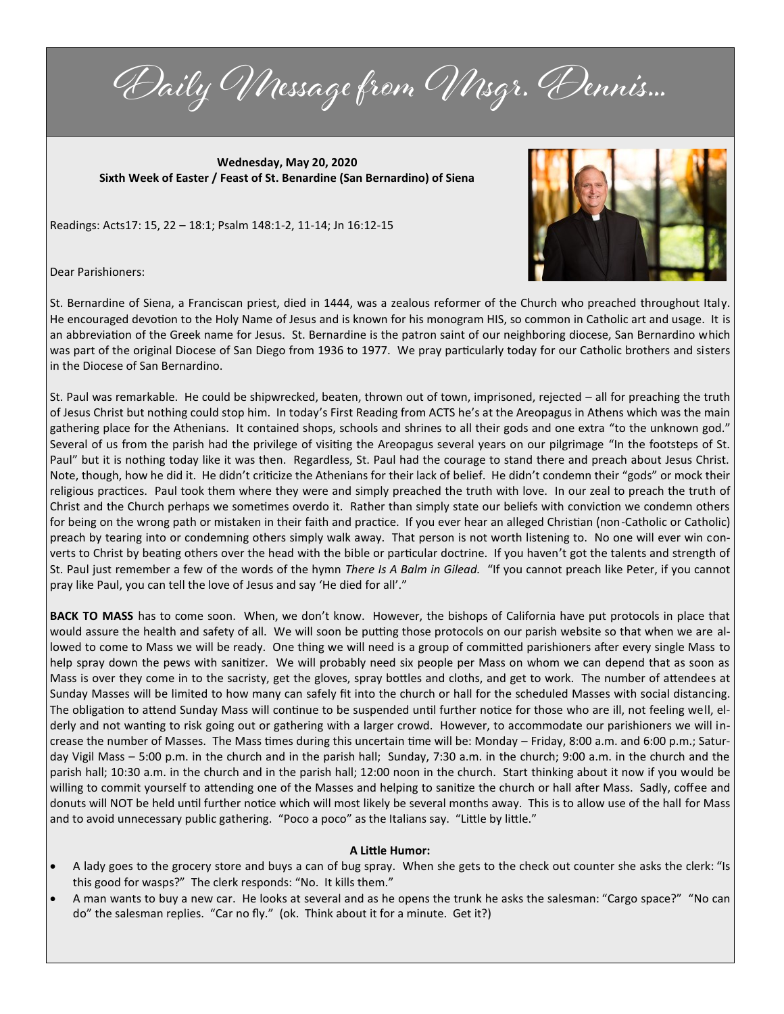Daily Message from Msgr. Dennis...

**Wednesday, May 20, 2020 Sixth Week of Easter / Feast of St. Benardine (San Bernardino) of Siena**

Readings: Acts17: 15, 22 – 18:1; Psalm 148:1-2, 11-14; Jn 16:12-15



Dear Parishioners:

St. Bernardine of Siena, a Franciscan priest, died in 1444, was a zealous reformer of the Church who preached throughout Italy. He encouraged devotion to the Holy Name of Jesus and is known for his monogram HIS, so common in Catholic art and usage. It is an abbreviation of the Greek name for Jesus. St. Bernardine is the patron saint of our neighboring diocese, San Bernardino which was part of the original Diocese of San Diego from 1936 to 1977. We pray particularly today for our Catholic brothers and sisters in the Diocese of San Bernardino.

St. Paul was remarkable. He could be shipwrecked, beaten, thrown out of town, imprisoned, rejected – all for preaching the truth of Jesus Christ but nothing could stop him. In today's First Reading from ACTS he's at the Areopagus in Athens which was the main gathering place for the Athenians. It contained shops, schools and shrines to all their gods and one extra "to the unknown god." Several of us from the parish had the privilege of visiting the Areopagus several years on our pilgrimage "In the footsteps of St. Paul" but it is nothing today like it was then. Regardless, St. Paul had the courage to stand there and preach about Jesus Christ. Note, though, how he did it. He didn't criticize the Athenians for their lack of belief. He didn't condemn their "gods" or mock their religious practices. Paul took them where they were and simply preached the truth with love. In our zeal to preach the truth of Christ and the Church perhaps we sometimes overdo it. Rather than simply state our beliefs with conviction we condemn others for being on the wrong path or mistaken in their faith and practice. If you ever hear an alleged Christian (non-Catholic or Catholic) preach by tearing into or condemning others simply walk away. That person is not worth listening to. No one will ever win converts to Christ by beating others over the head with the bible or particular doctrine. If you haven't got the talents and strength of St. Paul just remember a few of the words of the hymn *There Is A Balm in Gilead.* "If you cannot preach like Peter, if you cannot pray like Paul, you can tell the love of Jesus and say 'He died for all'."

**BACK TO MASS** has to come soon. When, we don't know. However, the bishops of California have put protocols in place that would assure the health and safety of all. We will soon be putting those protocols on our parish website so that when we are allowed to come to Mass we will be ready. One thing we will need is a group of committed parishioners after every single Mass to help spray down the pews with sanitizer. We will probably need six people per Mass on whom we can depend that as soon as Mass is over they come in to the sacristy, get the gloves, spray bottles and cloths, and get to work. The number of attendees at Sunday Masses will be limited to how many can safely fit into the church or hall for the scheduled Masses with social distancing. The obligation to attend Sunday Mass will continue to be suspended until further notice for those who are ill, not feeling well, elderly and not wanting to risk going out or gathering with a larger crowd. However, to accommodate our parishioners we will increase the number of Masses. The Mass times during this uncertain time will be: Monday – Friday, 8:00 a.m. and 6:00 p.m.; Saturday Vigil Mass – 5:00 p.m. in the church and in the parish hall; Sunday, 7:30 a.m. in the church; 9:00 a.m. in the church and the parish hall; 10:30 a.m. in the church and in the parish hall; 12:00 noon in the church. Start thinking about it now if you would be willing to commit yourself to attending one of the Masses and helping to sanitize the church or hall after Mass. Sadly, coffee and donuts will NOT be held until further notice which will most likely be several months away. This is to allow use of the hall for Mass and to avoid unnecessary public gathering. "Poco a poco" as the Italians say. "Little by little."

# **A Little Humor:**

- A lady goes to the grocery store and buys a can of bug spray. When she gets to the check out counter she asks the clerk: "Is this good for wasps?" The clerk responds: "No. It kills them."
- A man wants to buy a new car. He looks at several and as he opens the trunk he asks the salesman: "Cargo space?" "No can do" the salesman replies. "Car no fly." (ok. Think about it for a minute. Get it?)